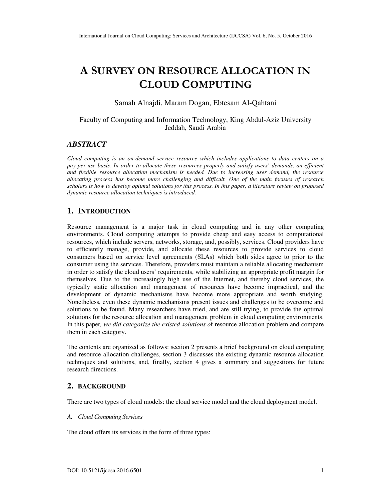# **A SURVEY ON RESOURCE ALLOCATION IN CLOUD COMPUTING**

Samah Alnajdi, Maram Dogan, Ebtesam Al-Qahtani

### Faculty of Computing and Information Technology, King Abdul-Aziz University Jeddah, Saudi Arabia

### *ABSTRACT*

*Cloud computing is an on-demand service resource which includes applications to data centers on a pay-per-use basis. In order to allocate these resources properly and satisfy users' demands, an efficient and flexible resource allocation mechanism is needed. Due to increasing user demand, the resource allocating process has become more challenging and difficult. One of the main focuses of research scholars is how to develop optimal solutions for this process. In this paper, a literature review on proposed dynamic resource allocation techniques is introduced.* 

### **1. INTRODUCTION**

Resource management is a major task in cloud computing and in any other computing environments. Cloud computing attempts to provide cheap and easy access to computational resources, which include servers, networks, storage, and, possibly, services. Cloud providers have to efficiently manage, provide, and allocate these resources to provide services to cloud consumers based on service level agreements (SLAs) which both sides agree to prior to the consumer using the services. Therefore, providers must maintain a reliable allocating mechanism in order to satisfy the cloud users' requirements, while stabilizing an appropriate profit margin for themselves. Due to the increasingly high use of the Internet, and thereby cloud services, the typically static allocation and management of resources have become impractical, and the development of dynamic mechanisms have become more appropriate and worth studying. Nonetheless, even these dynamic mechanisms present issues and challenges to be overcome and solutions to be found. Many researchers have tried, and are still trying, to provide the optimal solutions for the resource allocation and management problem in cloud computing environments. In this paper*, we did categorize the existed solutions o*f resource allocation problem and compare them in each category.

The contents are organized as follows: section 2 presents a brief background on cloud computing and resource allocation challenges, section 3 discusses the existing dynamic resource allocation techniques and solutions, and, finally, section 4 gives a summary and suggestions for future research directions.

### **2. BACKGROUND**

There are two types of cloud models: the cloud service model and the cloud deployment model.

*A. Cloud Computing Services* 

The cloud offers its services in the form of three types: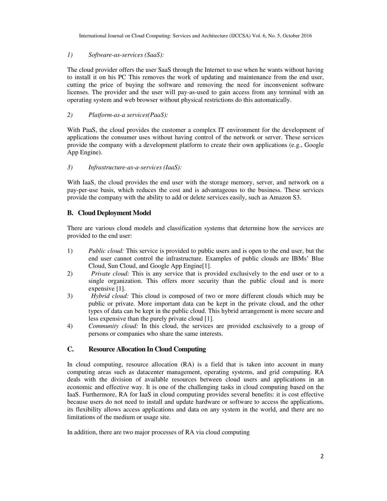### *1) Software-as-services (SaaS):*

The cloud provider offers the user SaaS through the Internet to use when he wants without having to install it on his PC This removes the work of updating and maintenance from the end user, cutting the price of buying the software and removing the need for inconvenient software licenses. The provider and the user will pay-as-used to gain access from any terminal with an operating system and web browser without physical restrictions do this automatically.

### *2) Platform-as-a services(PaaS):*

With PaaS, the cloud provides the customer a complex IT environment for the development of applications the consumer uses without having control of the network or server. These services provide the company with a development platform to create their own applications (e.g., Google App Engine).

#### *3) Infrastructure-as-a-services (IaaS):*

With IaaS, the cloud provides the end user with the storage memory, server, and network on a pay-per-use basis, which reduces the cost and is advantageous to the business. These services provide the company with the ability to add or delete services easily, such as Amazon S3.

### **B. Cloud Deployment Model**

There are various cloud models and classification systems that determine how the services are provided to the end user:

- 1) *Public cloud:* This service is provided to public users and is open to the end user, but the end user cannot control the infrastructure. Examples of public clouds are IBMs' Blue Cloud, Sun Cloud, and Google App Engine[1].
- 2) *Private cloud:* This is any service that is provided exclusively to the end user or to a single organization. This offers more security than the public cloud and is more expensive [1].
- 3) *Hybrid cloud:* This cloud is composed of two or more different clouds which may be public or private. More important data can be kept in the private cloud, and the other types of data can be kept in the public cloud. This hybrid arrangement is more secure and less expensive than the purely private cloud [1].
- 4) *Community cloud:* In this cloud, the services are provided exclusively to a group of persons or companies who share the same interests.

### **C. Resource Allocation In Cloud Computing**

In cloud computing, resource allocation (RA) is a field that is taken into account in many computing areas such as datacenter management, operating systems, and grid computing. RA deals with the division of available resources between cloud users and applications in an economic and effective way. It is one of the challenging tasks in cloud computing based on the IaaS. Furthermore, RA for IaaS in cloud computing provides several benefits: it is cost effective because users do not need to install and update hardware or software to access the applications, its flexibility allows access applications and data on any system in the world, and there are no limitations of the medium or usage site.

In addition, there are two major processes of RA via cloud computing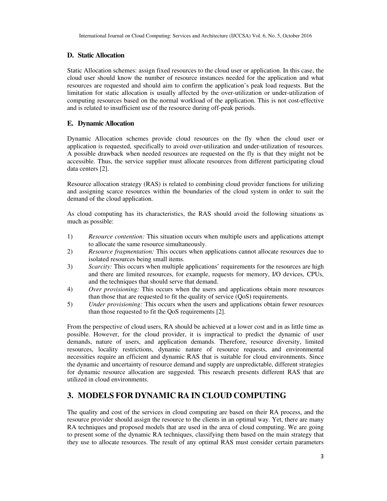#### **D. Static Allocation**

Static Allocation schemes: assign fixed resources to the cloud user or application. In this case, the cloud user should know the number of resource instances needed for the application and what resources are requested and should aim to confirm the application's peak load requests. But the limitation for static allocation is usually affected by the over-utilization or under-utilization of computing resources based on the normal workload of the application. This is not cost-effective and is related to insufficient use of the resource during off-peak periods.

### **E. Dynamic Allocation**

Dynamic Allocation schemes provide cloud resources on the fly when the cloud user or application is requested, specifically to avoid over-utilization and under-utilization of resources. A possible drawback when needed resources are requested on the fly is that they might not be accessible. Thus, the service supplier must allocate resources from different participating cloud data centers [2].

Resource allocation strategy (RAS) is related to combining cloud provider functions for utilizing and assigning scarce resources within the boundaries of the cloud system in order to suit the demand of the cloud application.

As cloud computing has its characteristics, the RAS should avoid the following situations as much as possible:

- 1) *Resource contention:* This situation occurs when multiple users and applications attempt to allocate the same resource simultaneously.
- 2) *Resource fragmentation:* This occurs when applications cannot allocate resources due to isolated resources being small items.
- 3) *Scarcity:* This occurs when multiple applications' requirements for the resources are high and there are limited resources, for example, requests for memory, I/O devices, CPUs, and the techniques that should serve that demand.
- 4) *Over provisioning:* This occurs when the users and applications obtain more resources than those that are requested to fit the quality of service (QoS) requirements.
- 5) *Under provisioning:* This occurs when the users and applications obtain fewer resources than those requested to fit the QoS requirements [2].

From the perspective of cloud users, RA should be achieved at a lower cost and in as little time as possible. However, for the cloud provider, it is impractical to predict the dynamic of user demands, nature of users, and application demands. Therefore, resource diversity, limited resources, locality restrictions, dynamic nature of resource requests, and environmental necessities require an efficient and dynamic RAS that is suitable for cloud environments. Since the dynamic and uncertainty of resource demand and supply are unpredictable, different strategies for dynamic resource allocation are suggested. This research presents different RAS that are utilized in cloud environments.

# **3. MODELS FOR DYNAMIC RA IN CLOUD COMPUTING**

The quality and cost of the services in cloud computing are based on their RA process, and the resource provider should assign the resource to the clients in an optimal way. Yet, there are many RA techniques and proposed models that are used in the area of cloud computing. We are going to present some of the dynamic RA techniques, classifying them based on the main strategy that they use to allocate resources. The result of any optimal RAS must consider certain parameters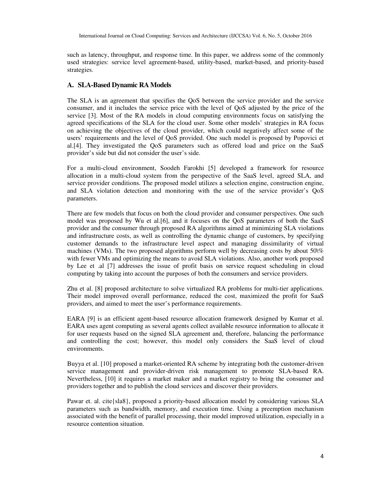such as latency, throughput, and response time. In this paper, we address some of the commonly used strategies: service level agreement-based, utility-based, market-based, and priority-based strategies.

### **A. SLA-Based Dynamic RA Models**

The SLA is an agreement that specifies the QoS between the service provider and the service consumer, and it includes the service price with the level of QoS adjusted by the price of the service [3]. Most of the RA models in cloud computing environments focus on satisfying the agreed specifications of the SLA for the cloud user. Some other models' strategies in RA focus on achieving the objectives of the cloud provider, which could negatively affect some of the users' requirements and the level of QoS provided. One such model is proposed by Popovici et al.[4]. They investigated the QoS parameters such as offered load and price on the SaaS provider's side but did not consider the user's side.

For a multi-cloud environment, Soodeh Farokhi [5] developed a framework for resource allocation in a multi-cloud system from the perspective of the SaaS level, agreed SLA, and service provider conditions. The proposed model utilizes a selection engine, construction engine, and SLA violation detection and monitoring with the use of the service provider's QoS parameters.

There are few models that focus on both the cloud provider and consumer perspectives. One such model was proposed by Wu et al.[6], and it focuses on the QoS parameters of both the SaaS provider and the consumer through proposed RA algorithms aimed at minimizing SLA violations and infrastructure costs, as well as controlling the dynamic change of customers, by specifying customer demands to the infrastructure level aspect and managing dissimilarity of virtual machines (VMs). The two proposed algorithms perform well by decreasing costs by about 50\% with fewer VMs and optimizing the means to avoid SLA violations. Also, another work proposed by Lee et .al [7] addresses the issue of profit basis on service request scheduling in cloud computing by taking into account the purposes of both the consumers and service providers.

Zhu et al. [8] proposed architecture to solve virtualized RA problems for multi-tier applications. Their model improved overall performance, reduced the cost, maximized the profit for SaaS providers, and aimed to meet the user's performance requirements.

EARA [9] is an efficient agent-based resource allocation framework designed by Kumar et al. EARA uses agent computing as several agents collect available resource information to allocate it for user requests based on the signed SLA agreement and, therefore, balancing the performance and controlling the cost; however, this model only considers the SaaS level of cloud environments.

Buyya et al. [10] proposed a market-oriented RA scheme by integrating both the customer-driven service management and provider-driven risk management to promote SLA-based RA. Nevertheless, [10] it requires a market maker and a market registry to bring the consumer and providers together and to publish the cloud services and discover their providers.

Pawar et. al. cite{sla8}, proposed a priority-based allocation model by considering various SLA parameters such as bandwidth, memory, and execution time. Using a preemption mechanism associated with the benefit of parallel processing, their model improved utilization, especially in a resource contention situation.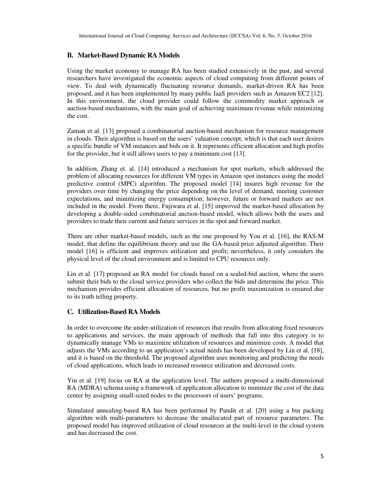#### **B. Market-Based Dynamic RA Models**

Using the market economy to manage RA has been studied extensively in the past, and several researchers have investigated the economic aspects of cloud computing from different points of view. To deal with dynamically fluctuating resource demands, market-driven RA has been proposed, and it has been implemented by many public IaaS providers such as Amazon EC2 [12]. In this environment, the cloud provider could follow the commodity market approach or auction-based mechanisms, with the main goal of achieving maximum revenue while minimizing the cost.

Zaman et al. [13] proposed a combinatorial auction-based mechanism for resource management in clouds. Their algorithm is based on the users' valuation concept, which is that each user desires a specific bundle of VM instances and bids on it. It represents efficient allocation and high profits for the provider, but it still allows users to pay a minimum cost [13].

In addition, Zhang et. al. [14] introduced a mechanism for spot markets, which addressed the problem of allocating resources for different VM types in Amazon spot instances using the model predictive control (MPC) algorithm. The proposed model [14] insures high revenue for the providers over time by changing the price depending on the level of demand, meeting customer expectations, and minimizing energy consumption; however, future or forward markets are not included in the model. From there, Fujiwara et al. [15] improved the market-based allocation by developing a double-sided combinatorial auction-based model, which allows both the users and providers to trade their current and future services in the spot and forward market.

There are other market-based models, such as the one proposed by You et al. [16], the RAS-M model, that define the equilibrium theory and use the GA-based price adjusted algorithm. Their model [16] is efficient and improves utilization and profit; nevertheless, it only considers the physical level of the cloud environment and is limited to CPU resources only.

Lin et al. [17] proposed an RA model for clouds based on a sealed-bid auction, where the users submit their bids to the cloud service providers who collect the bids and determine the price. This mechanism provides efficient allocation of resources, but no profit maximization is ensured due to its truth telling property.

### **C. Utilization-Based RA Models**

In order to overcome the under-utilization of resources that results from allocating fixed resources to applications and services, the main approach of methods that fall into this category is to dynamically manage VMs to maximize utilization of resources and minimize costs. A model that adjusts the VMs according to an application's actual needs has been developed by Lin et al. [18], and it is based on the threshold. The proposed algorithm uses monitoring and predicting the needs of cloud applications, which leads to increased resource utilization and decreased costs.

Yin et al. [19] focus on RA at the application level. The authors proposed a multi-dimensional RA (MDRA) schema using a framework of application allocation to minimize the cost of the data center by assigning small-sized nodes to the processors of users' programs.

Simulated annealing-based RA has been performed by Pandit et al. [20] using a bin packing algorithm with multi-parameters to decrease the unallocated part of resource parameters. The proposed model has improved utilization of cloud resources at the multi-level in the cloud system and has decreased the cost.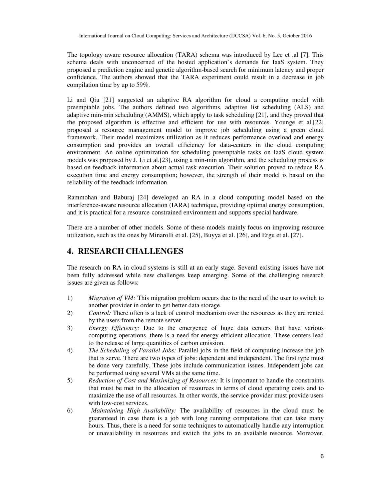The topology aware resource allocation (TARA) schema was introduced by Lee et .al [7]. This schema deals with unconcerned of the hosted application's demands for IaaS system. They proposed a prediction engine and genetic algorithm-based search for minimum latency and proper confidence. The authors showed that the TARA experiment could result in a decrease in job compilation time by up to 59%.

Li and Qiu [21] suggested an adaptive RA algorithm for cloud a computing model with preemptable jobs. The authors defined two algorithms, adaptive list scheduling (ALS) and adaptive min-min scheduling (AMMS), which apply to task scheduling [21], and they proved that the proposed algorithm is effective and efficient for use with resources. Younge et al.[22] proposed a resource management model to improve job scheduling using a green cloud framework. Their model maximizes utilization as it reduces performance overload and energy consumption and provides an overall efficiency for data-centers in the cloud computing environment. An online optimization for scheduling preemptable tasks on IaaS cloud system models was proposed by J. Li et al.[23], using a min-min algorithm, and the scheduling process is based on feedback information about actual task execution. Their solution proved to reduce RA execution time and energy consumption; however, the strength of their model is based on the reliability of the feedback information.

Rammohan and Baburaj [24] developed an RA in a cloud computing model based on the interference-aware resource allocation (IARA) technique, providing optimal energy consumption, and it is practical for a resource-constrained environment and supports special hardware.

There are a number of other models. Some of these models mainly focus on improving resource utilization, such as the ones by Minarolli et al. [25], Buyya et al. [26], and Ergu et al. [27].

# **4. RESEARCH CHALLENGES**

The research on RA in cloud systems is still at an early stage. Several existing issues have not been fully addressed while new challenges keep emerging. Some of the challenging research issues are given as follows:

- 1) *Migration of VM:* This migration problem occurs due to the need of the user to switch to another provider in order to get better data storage.
- 2) *Control:* There often is a lack of control mechanism over the resources as they are rented by the users from the remote server.
- 3) *Energy Efficiency:* Due to the emergence of huge data centers that have various computing operations, there is a need for energy efficient allocation. These centers lead to the release of large quantities of carbon emission.
- 4) *The Scheduling of Parallel Jobs:* Parallel jobs in the field of computing increase the job that is serve. There are two types of jobs: dependent and independent. The first type must be done very carefully. These jobs include communication issues. Independent jobs can be performed using several VMs at the same time.
- 5) *Reduction of Cost and Maximizing of Resources:* It is important to handle the constraints that must be met in the allocation of resources in terms of cloud operating costs and to maximize the use of all resources. In other words, the service provider must provide users with low-cost services.
- 6) *Maintaining High Availability:* The availability of resources in the cloud must be guaranteed in case there is a job with long running computations that can take many hours. Thus, there is a need for some techniques to automatically handle any interruption or unavailability in resources and switch the jobs to an available resource. Moreover,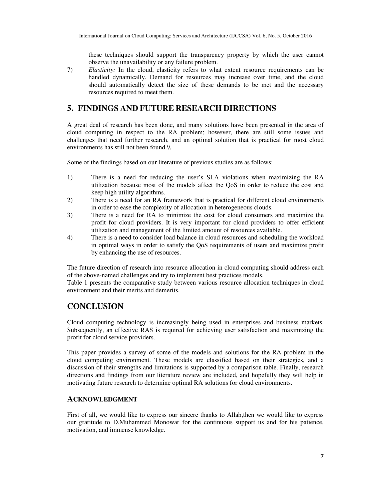these techniques should support the transparency property by which the user cannot observe the unavailability or any failure problem.

7) *Elasticity:* In the cloud, elasticity refers to what extent resource requirements can be handled dynamically. Demand for resources may increase over time, and the cloud should automatically detect the size of these demands to be met and the necessary resources required to meet them.

## **5. FINDINGS AND FUTURE RESEARCH DIRECTIONS**

A great deal of research has been done, and many solutions have been presented in the area of cloud computing in respect to the RA problem; however, there are still some issues and challenges that need further research, and an optimal solution that is practical for most cloud environments has still not been found.\\

Some of the findings based on our literature of previous studies are as follows:

- 1) There is a need for reducing the user's SLA violations when maximizing the RA utilization because most of the models affect the QoS in order to reduce the cost and keep high utility algorithms.
- 2) There is a need for an RA framework that is practical for different cloud environments in order to ease the complexity of allocation in heterogeneous clouds.
- 3) There is a need for RA to minimize the cost for cloud consumers and maximize the profit for cloud providers. It is very important for cloud providers to offer efficient utilization and management of the limited amount of resources available.
- 4) There is a need to consider load balance in cloud resources and scheduling the workload in optimal ways in order to satisfy the QoS requirements of users and maximize profit by enhancing the use of resources.

The future direction of research into resource allocation in cloud computing should address each of the above-named challenges and try to implement best practices models.

Table 1 presents the comparative study between various resource allocation techniques in cloud environment and their merits and demerits.

# **CONCLUSION**

Cloud computing technology is increasingly being used in enterprises and business markets. Subsequently, an effective RAS is required for achieving user satisfaction and maximizing the profit for cloud service providers.

This paper provides a survey of some of the models and solutions for the RA problem in the cloud computing environment. These models are classified based on their strategies, and a discussion of their strengths and limitations is supported by a comparison table. Finally, research directions and findings from our literature review are included, and hopefully they will help in motivating future research to determine optimal RA solutions for cloud environments.

### **ACKNOWLEDGMENT**

First of all, we would like to express our sincere thanks to Allah,then we would like to express our gratitude to D.Muhammed Monowar for the continuous support us and for his patience, motivation, and immense knowledge.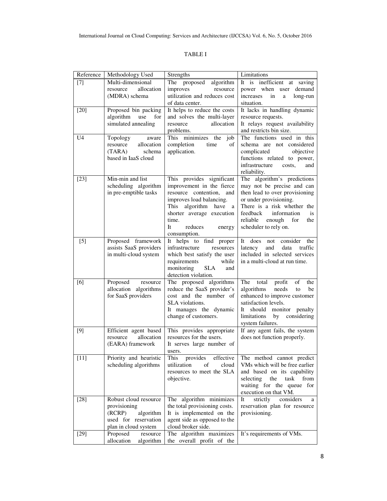### TABLE I

| Reference      | Methodology Used                                                                                             | Strengths                                                                                                                                                                                                                   | Limitations                                                                                                                                                                                                                                               |
|----------------|--------------------------------------------------------------------------------------------------------------|-----------------------------------------------------------------------------------------------------------------------------------------------------------------------------------------------------------------------------|-----------------------------------------------------------------------------------------------------------------------------------------------------------------------------------------------------------------------------------------------------------|
| $[7]$          | Multi-dimensional<br>allocation<br>resource<br>(MDRA) schema                                                 | The<br>proposed<br>algorithm<br>improves<br>resource<br>utilization and reduces cost<br>of data center.                                                                                                                     | It is inefficient at saving<br>power when user demand<br>increases<br>in<br>long-run<br>a<br>situation.                                                                                                                                                   |
| $[20]$         | Proposed bin packing<br>algorithm<br>use<br>for<br>simulated annealing                                       | It helps to reduce the costs<br>and solves the multi-layer<br>resource<br>allocation<br>problems.                                                                                                                           | It lacks in handling dynamic<br>resource requests.<br>It relays request availability<br>and restricts bin size.                                                                                                                                           |
| U <sub>4</sub> | Topology<br>aware<br>resource<br>allocation<br>schema<br>(TARA)<br>based in IaaS cloud                       | This minimizes the<br>job<br>completion<br>time<br>of<br>application.                                                                                                                                                       | The functions used in this<br>schema are not considered<br>complicated<br>objective<br>functions related to power,<br>infrastructure<br>costs,<br>and<br>reliability.                                                                                     |
| $[23]$         | Min-min and list<br>scheduling algorithm<br>in pre-emptible tasks                                            | This provides significant<br>improvement in the fierce<br>resource contention,<br>and<br>improves load balancing.<br>This algorithm have a<br>shorter average execution<br>time.<br>It<br>reduces<br>energy<br>consumption. | The algorithm's predictions<br>may not be precise and can<br>then lead to over provisioning<br>or under provisioning.<br>There is a risk whether the<br>feedback<br>information<br><i>is</i><br>reliable<br>enough<br>the<br>for<br>scheduler to rely on. |
| $[5]$          | Proposed framework<br>assists SaaS providers<br>in multi-cloud system                                        | It helps to find proper<br>infrastructure<br>resources<br>which best satisfy the user<br>requirements<br>while<br>monitoring<br><b>SLA</b><br>and<br>detection violation.                                                   | does not consider the<br>It<br>latency<br>data<br>traffic<br>and<br>included in selected services<br>in a multi-cloud at run time.                                                                                                                        |
| [6]            | Proposed<br>resource<br>allocation algorithms<br>for SaaS providers                                          | The proposed algorithms<br>reduce the SaaS provider's<br>cost and the number of<br>SLA violations.<br>It manages the dynamic<br>change of customers.                                                                        | The<br>total<br>profit<br>of<br>the<br>algorithms<br>needs<br>to<br>be<br>enhanced to improve customer<br>satisfaction levels.<br>It should monitor penalty<br>limitations<br>by considering<br>system failures.                                          |
| $[9]$          | Efficient agent based<br>allocation<br>resource<br>(EARA) framework                                          | This provides appropriate<br>resources for the users.<br>It serves large number of<br>users.                                                                                                                                | If any agent fails, the system<br>does not function properly.                                                                                                                                                                                             |
| $[11]$         | Priority and heuristic<br>scheduling algorithms                                                              | effective<br>This<br>provides<br>utilization<br>of<br>cloud<br>resources to meet the SLA<br>objective.                                                                                                                      | The method cannot predict<br>VMs which will be free earlier<br>and based on its capability<br>selecting<br>the<br>task<br>from<br>waiting for the queue for<br>execution on that VM.                                                                      |
| $[28]$         | Robust cloud resource<br>provisioning<br>(RCRP)<br>algorithm<br>used for reservation<br>plan in cloud system | The algorithm minimizes<br>the total provisioning costs.<br>It is implemented on the<br>agent side as opposed to the<br>cloud broker side.                                                                                  | It<br>strictly<br>considers<br>a<br>reservation plan for resource<br>provisioning.                                                                                                                                                                        |
| $[29]$         | Proposed<br>resource<br>allocation<br>algorithm                                                              | The algorithm maximizes<br>the overall profit of the                                                                                                                                                                        | It's requirements of VMs.                                                                                                                                                                                                                                 |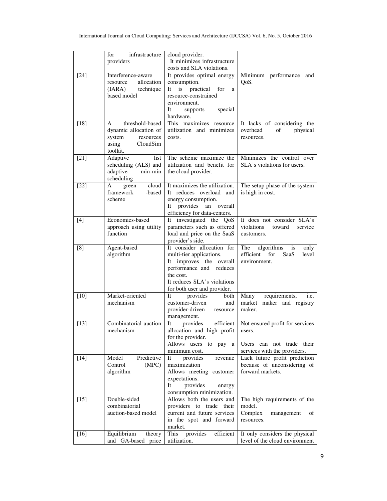|        | infrastructure<br>for<br>providers                                                                    | cloud provider.<br>It minimizes infrastructure                                                                                                                                          |                                                                                                        |
|--------|-------------------------------------------------------------------------------------------------------|-----------------------------------------------------------------------------------------------------------------------------------------------------------------------------------------|--------------------------------------------------------------------------------------------------------|
| $[24]$ | Interference-aware                                                                                    | costs and SLA violations.<br>It provides optimal energy                                                                                                                                 | Minimum performance<br>and                                                                             |
|        | allocation<br>resource<br>technique<br>(IARA)<br>based model                                          | consumption.<br>is practical<br>for<br>It<br>a<br>resource-constrained<br>environment.<br>It<br>special<br>supports<br>hardware.                                                        | QoS.                                                                                                   |
| $[18]$ | threshold-based<br>A<br>dynamic allocation of<br>system<br>resources<br>using<br>CloudSim<br>toolkit. | This maximizes resource<br>utilization and minimizes<br>costs.                                                                                                                          | It lacks of considering the<br>of<br>physical<br>overhead<br>resources.                                |
| $[21]$ | Adaptive<br>list<br>scheduling (ALS) and<br>adaptive<br>min-min<br>scheduling                         | The scheme maximize the<br>utilization and benefit for<br>the cloud provider.                                                                                                           | Minimizes the control over<br>SLA's violations for users.                                              |
| $[22]$ | cloud<br>A<br>green<br>framework<br>-based<br>scheme                                                  | It maximizes the utilization.<br>It reduces overload and<br>energy consumption.<br>It provides<br>an overall<br>efficiency for data-centers.                                            | The setup phase of the system<br>is high in cost.                                                      |
| $[4]$  | Economics-based<br>approach using utility<br>function                                                 | It investigated the<br>QoS<br>parameters such as offered<br>load and price on the SaaS<br>provider's side.                                                                              | It does not consider SLA's<br>violations<br>toward<br>service<br>customers.                            |
| [8]    | Agent-based<br>algorithm                                                                              | It consider allocation for<br>multi-tier applications.<br>It improves the overall<br>performance and reduces<br>the cost.<br>It reduces SLA's violations<br>for both user and provider. | The<br>algorithms<br>is<br>only<br>efficient<br>for<br>SaaS<br>level<br>environment.                   |
| $[10]$ | Market-oriented<br>mechanism                                                                          | provides<br>both<br>It<br>customer-driven<br>and<br>provider-driven<br>resource<br>management.                                                                                          | Many<br>requirements,<br>i.e.<br>market maker and registry<br>maker.                                   |
| $[13]$ | Combinatorial auction<br>mechanism                                                                    | provides<br>efficient<br>It<br>allocation and high profit<br>for the provider.<br>Allows users to pay a<br>minimum cost.                                                                | Not ensured profit for services<br>users.<br>Users can not trade their<br>services with the providers. |
| $[14]$ | Predictive<br>Model<br>Control<br>(MPC)<br>algorithm                                                  | provides<br>It<br>revenue<br>maximization<br>Allows meeting customer<br>expectations.<br>It<br>provides<br>energy<br>consumption minimization.                                          | Lack future profit prediction<br>because of unconsidering of<br>forward markets.                       |
| $[15]$ | Double-sided<br>combinatorial<br>auction-based model                                                  | Allows both the users and<br>providers to trade their<br>current and future services<br>in the spot and forward<br>market.                                                              | The high requirements of the<br>model.<br>Complex<br>οf<br>management<br>resources.                    |
| $[16]$ | Equilibrium<br>theory<br>and GA-based price                                                           | efficient<br>This<br>provides<br>utilization.                                                                                                                                           | It only considers the physical<br>level of the cloud environment                                       |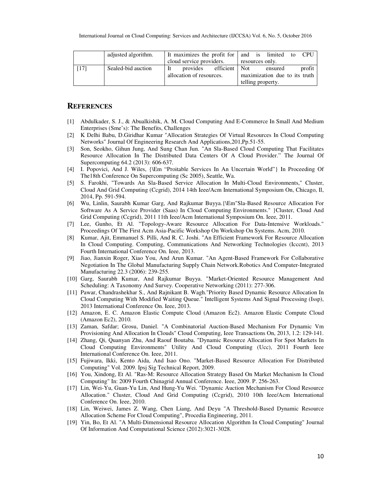|      | adjusted algorithm. | It maximizes the profit for   and is limited to | <b>CPU</b>                    |
|------|---------------------|-------------------------------------------------|-------------------------------|
|      |                     | cloud service providers.                        | resources only.               |
| [17] | Sealed-bid auction  | efficient Not<br>provides                       | profit<br>ensured             |
|      |                     | allocation of resources.                        | maximization due to its truth |
|      |                     |                                                 | telling property.             |

### **REFERENCES**

- [1] Abdulkader, S. J., & Abualkishik, A. M. Cloud Computing And E-Commerce In Small And Medium Enterprises (Sme's): The Benefits, Challenges
- [2] K Delhi Babu, D.Giridhar Kumar "Allocation Strategies Of Virtual Resources In Cloud Computing Networks" Journal Of Engineering Research And Applications,201,Pp.51-55.
- [3] Son, Seokho, Gihun Jung, And Sung Chan Jun. "An Sla-Based Cloud Computing That Facilitates Resource Allocation In The Distributed Data Centers Of A Cloud Provider." The Journal Of Supercomputing 64.2 (2013): 606-637.
- [4] I. Popovici, And J. Wiles, {\Em "Proitable Services In An Uncertain World"} In Proceeding Of The18th Conference On Supercomputing (Sc 2005), Seattle, Wa.
- [5] S. Farokhi, "Towards An Sla-Based Service Allocation In Multi-Cloud Environments," Cluster, Cloud And Grid Computing (Ccgrid), 2014 14th Ieee/Acm International Symposium On, Chicago, Il, 2014, Pp. 591-594.
- [6] Wu, Linlin, Saurabh Kumar Garg, And Rajkumar Buyya.{\Em"Sla-Based Resource Allocation For Software As A Service Provider (Saas) In Cloud Computing Environments." }Cluster, Cloud And Grid Computing (Ccgrid), 2011 11th Ieee/Acm International Symposium On. Ieee, 2011.
- [7] Lee, Gunho, Et Al. "Topology-Aware Resource Allocation For Data-Intensive Workloads." Proceedings Of The First Acm Asia-Pacific Workshop On Workshop On Systems. Acm, 2010.
- [8] Kumar, Ajit, Emmanuel S. Pilli, And R. C. Joshi. "An Efficient Framework For Resource Allocation In Cloud Computing. Computing, Communications And Networking Technologies (Icccnt), 2013 Fourth International Conference On. Ieee, 2013.
- [9] Jiao, Jianxin Roger, Xiao You, And Arun Kumar. "An Agent-Based Framework For Collaborative Negotiation In The Global Manufacturing Supply Chain Network.Robotics And Computer-Integrated Manufacturing 22.3 (2006): 239-255.
- [10] Garg, Saurabh Kumar, And Rajkumar Buyya. "Market-Oriented Resource Management And Scheduling: A Taxonomy And Survey. Cooperative Networking (2011): 277-306.
- [11] Pawar, Chandrashekhar S., And Rajnikant B. Wagh."Priority Based Dynamic Resource Allocation In Cloud Computing With Modified Waiting Queue." Intelligent Systems And Signal Processing (Issp), 2013 International Conference On. Ieee, 2013.
- [12] Amazon, E. C. Amazon Elastic Compute Cloud (Amazon Ec2). Amazon Elastic Compute Cloud (Amazon Ec2), 2010.
- [13] Zaman, Safdar; Grosu, Daniel. "A Combinatorial Auction-Based Mechanism For Dynamic Vm Provisioning And Allocation In Clouds" Cloud Computing, Ieee Transactions On, 2013, 1.2: 129-141.
- [14] Zhang, Qi, Quanyan Zhu, And Raouf Boutaba. "Dynamic Resource Allocation For Spot Markets In Cloud Computing Environments" Utility And Cloud Computing (Ucc), 2011 Fourth Ieee International Conference On. Ieee, 2011.
- [15] Fujiwara, Ikki, Kento Aida, And Isao Ono. "Market-Based Resource Allocation For Distributed Computing" Vol. 2009. Ipsj Sig Technical Report, 2009.
- [16] You, Xindong, Et Al. "Ras-M: Resource Allocation Strategy Based On Market Mechanism In Cloud Computing" In: 2009 Fourth Chinagrid Annual Conference. Ieee, 2009. P. 256-263.
- [17] Lin, Wei-Yu, Guan-Yu Lin, And Hung-Yu Wei. "Dynamic Auction Mechanism For Cloud Resource Allocation." Cluster, Cloud And Grid Computing (Ccgrid), 2010 10th Ieee/Acm International Conference On. Ieee, 2010.
- [18] Lin, Weiwei, James Z. Wang, Chen Liang, And Deyu "A Threshold-Based Dynamic Resource Allocation Scheme For Cloud Computing", Procedia Engineering, 2011.
- [19] Yin, Bo, Et Al. "A Multi-Dimensional Resource Allocation Algorithm In Cloud Computing" Journal Of Information And Computational Science (2012):3021-3028.